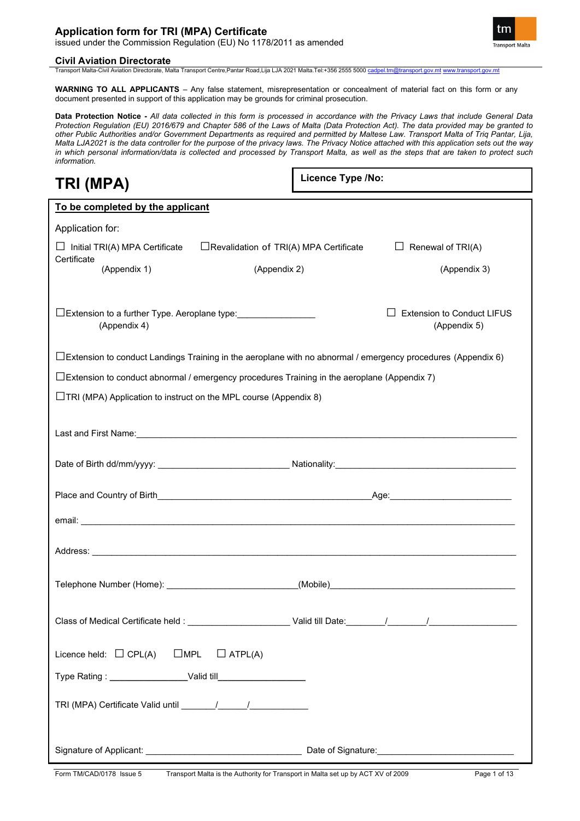### **Application form for TRI (MPA) Certificate**

issued under the Commission Regulation (EU) No 1178/2011 as amended

### **Civil Aviation Directorate**

Transport Malta-Civil Aviation Directorate, Malta Transport Centre,Pantar Road,Lija LJA 2021 Malta.Tel:+356 2555 5000 [cadpel.tm@transport.gov.mt](mailto:cadpel.tm@transport.gov.mt) [www.transport.gov.mt](http://www.transport.gov.mt/)

**WARNING TO ALL APPLICANTS** – Any false statement, misrepresentation or concealment of material fact on this form or any document presented in support of this application may be grounds for criminal prosecution.

**Data Protection Notice -** *All data collected in this form is processed in accordance with the Privacy Laws that include General Data Protection Regulation (EU) 2016/679 and Chapter 586 of the Laws of Malta (Data Protection Act). The data provided may be granted to other Public Authorities and/or Government Departments as required and permitted by Maltese Law. Transport Malta of Triq Pantar, Lija, Malta LJA2021 is the data controller for the purpose of the privacy laws. The Privacy Notice attached with this application sets out the way in which personal information/data is collected and processed by Transport Malta, as well as the steps that are taken to protect such information.*

# **TRI (MPA)**

**Licence Type /No:** 

| To be completed by the applicant                                                                                    |                                               |                                   |
|---------------------------------------------------------------------------------------------------------------------|-----------------------------------------------|-----------------------------------|
| Application for:                                                                                                    |                                               |                                   |
| $\Box$ Initial TRI(A) MPA Certificate                                                                               | $\Box$ Revalidation of TRI(A) MPA Certificate | $\Box$ Renewal of TRI(A)          |
| Certificate<br>(Appendix 1)                                                                                         | (Appendix 2)                                  | (Appendix 3)                      |
|                                                                                                                     |                                               |                                   |
| □Extension to a further Type. Aeroplane type:                                                                       |                                               | <b>Extension to Conduct LIFUS</b> |
| (Appendix 4)                                                                                                        |                                               | (Appendix 5)                      |
| $\Box$ Extension to conduct Landings Training in the aeroplane with no abnormal / emergency procedures (Appendix 6) |                                               |                                   |
| $\Box$ Extension to conduct abnormal / emergency procedures Training in the aeroplane (Appendix 7)                  |                                               |                                   |
| $\Box$ TRI (MPA) Application to instruct on the MPL course (Appendix 8)                                             |                                               |                                   |
|                                                                                                                     |                                               |                                   |
|                                                                                                                     |                                               |                                   |
|                                                                                                                     |                                               |                                   |
|                                                                                                                     |                                               |                                   |
|                                                                                                                     |                                               |                                   |
|                                                                                                                     |                                               |                                   |
|                                                                                                                     |                                               |                                   |
|                                                                                                                     |                                               |                                   |
|                                                                                                                     |                                               |                                   |
|                                                                                                                     |                                               |                                   |
|                                                                                                                     |                                               |                                   |
|                                                                                                                     |                                               |                                   |
| Licence held: $\Box$ CPL(A)<br>$\square$ MPL                                                                        | $\Box$ ATPL(A)                                |                                   |
|                                                                                                                     |                                               |                                   |
|                                                                                                                     |                                               |                                   |
|                                                                                                                     |                                               |                                   |
|                                                                                                                     |                                               |                                   |
|                                                                                                                     |                                               |                                   |

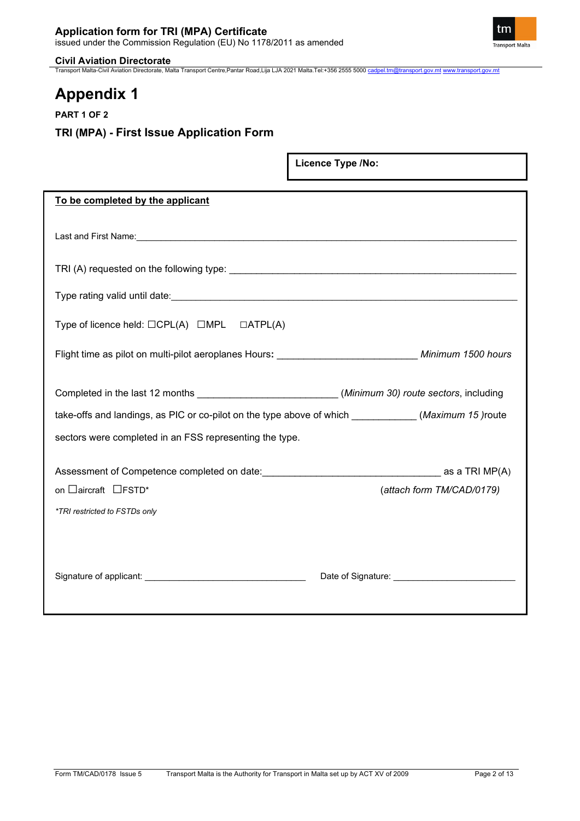

**Civil Aviation Directorate** Transport Malta-Civil Aviation Directorate, Malta Transport Centre,Pantar Road,Lija LJA 2021 Malta.Tel:+356 2555 5000 [cadpel.tm@transport.gov.mt](mailto:cadpel.tm@transport.gov.mt) [www.transport.gov.mt](http://www.transport.gov.mt/)

# **Appendix 1**

**PART 1 OF 2**

# **TRI (MPA) - First Issue Application Form**

|                                                                                                                                                                                                                                      | Licence Type /No:         |
|--------------------------------------------------------------------------------------------------------------------------------------------------------------------------------------------------------------------------------------|---------------------------|
| To be completed by the applicant                                                                                                                                                                                                     |                           |
| Last and First Name: <b>All and Account Contract Contract Contract Contract Contract Contract Contract Contract Contract Contract Contract Contract Contract Contract Contract Contract Contract Contract Contract Contract Cont</b> |                           |
|                                                                                                                                                                                                                                      |                           |
| Type rating valid until date:                                                                                                                                                                                                        |                           |
| Type of licence held: $\Box$ CPL(A) $\Box$ MPL $\Box$ ATPL(A)                                                                                                                                                                        |                           |
| Flight time as pilot on multi-pilot aeroplanes Hours: ______________________________ Minimum 1500 hours                                                                                                                              |                           |
| Completed in the last 12 months __________________________(Minimum 30) route sectors, including<br>take-offs and landings, as PIC or co-pilot on the type above of which ___________(Maximum 15) route                               |                           |
| sectors were completed in an FSS representing the type.                                                                                                                                                                              |                           |
| on □aircraft □FSTD*<br>*TRI restricted to FSTDs only                                                                                                                                                                                 | (attach form TM/CAD/0179) |
|                                                                                                                                                                                                                                      |                           |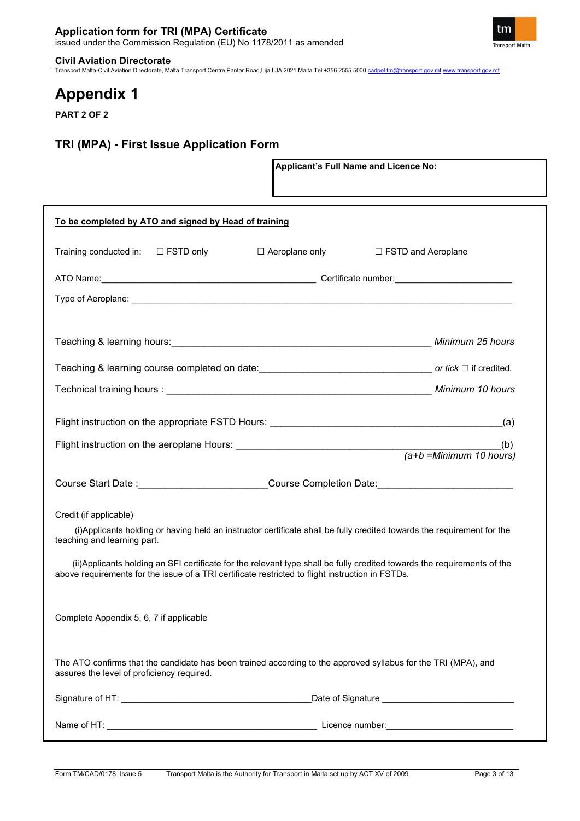

Transport Malta-Civil Aviation Directorate, Malta Transport Centre,Pantar Road,Lija LJA 2021 Malta.Tel:+356 2555 5000 [cadpel.tm@transport.gov.mt](mailto:cadpel.tm@transport.gov.mt) [www.transport.gov.mt](http://www.transport.gov.mt/)

**Applicant's Full Name and Licence No:**

# **Appendix 1**

**PART 2 OF 2**

### **TRI (MPA) - First Issue Application Form**

| To be completed by ATO and signed by Head of training                                                                                                                                                                        |                  |                           |
|------------------------------------------------------------------------------------------------------------------------------------------------------------------------------------------------------------------------------|------------------|---------------------------|
| Training conducted in:<br>$\Box$ FSTD only                                                                                                                                                                                   | □ Aeroplane only | $\Box$ FSTD and Aeroplane |
|                                                                                                                                                                                                                              |                  |                           |
|                                                                                                                                                                                                                              |                  |                           |
|                                                                                                                                                                                                                              |                  | Minimum 25 hours          |
| Teaching & learning course completed on date: contract and the control of tick □ if credited.                                                                                                                                |                  |                           |
|                                                                                                                                                                                                                              |                  |                           |
|                                                                                                                                                                                                                              |                  | (a)                       |
|                                                                                                                                                                                                                              |                  |                           |
| Course Start Date : ___________________________Course Completion Date: ____________________________                                                                                                                          |                  |                           |
| Credit (if applicable)                                                                                                                                                                                                       |                  |                           |
| (i) Applicants holding or having held an instructor certificate shall be fully credited towards the requirement for the<br>teaching and learning part.                                                                       |                  |                           |
| (ii) Applicants holding an SFI certificate for the relevant type shall be fully credited towards the requirements of the<br>above requirements for the issue of a TRI certificate restricted to flight instruction in FSTDs. |                  |                           |
| Complete Appendix 5, 6, 7 if applicable                                                                                                                                                                                      |                  |                           |
| The ATO confirms that the candidate has been trained according to the approved syllabus for the TRI (MPA), and<br>assures the level of proficiency required.                                                                 |                  |                           |
|                                                                                                                                                                                                                              |                  |                           |
|                                                                                                                                                                                                                              |                  |                           |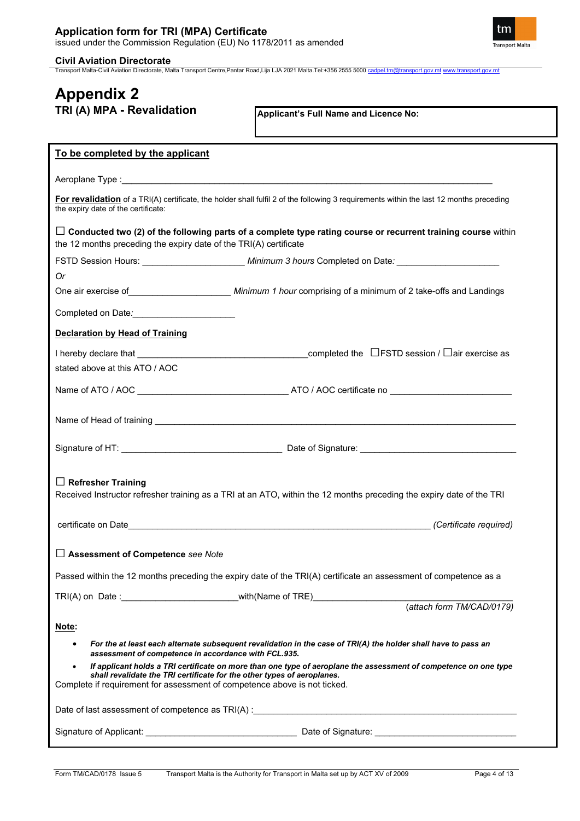

Transport Malta-Civil Aviation Directorate, Malta Transport Centre,Pantar Road,Lija LJA 2021 Malta.Tel:+356 2555 5000 [cadpel.tm@transport.gov.mt](mailto:cadpel.tm@transport.gov.mt) [www.transport.gov.mt](http://www.transport.gov.mt/)

### **Appendix 2 TRI (A) MPA - Revalidation**

| To be completed by the applicant                                                                                                                                                                                              |                                                                                                                                         |
|-------------------------------------------------------------------------------------------------------------------------------------------------------------------------------------------------------------------------------|-----------------------------------------------------------------------------------------------------------------------------------------|
| Aeroplane Type : the contract of the contract of the contract of the contract of the contract of the contract of the contract of the contract of the contract of the contract of the contract of the contract of the contract |                                                                                                                                         |
| the expiry date of the certificate:                                                                                                                                                                                           | For revalidation of a TRI(A) certificate, the holder shall fulfil 2 of the following 3 requirements within the last 12 months preceding |
| the 12 months preceding the expiry date of the TRI(A) certificate                                                                                                                                                             | $\Box$ Conducted two (2) of the following parts of a complete type rating course or recurrent training course within                    |
| FSTD Session Hours: _________________________________Minimum 3 hours Completed on Date: ______________________                                                                                                                |                                                                                                                                         |
| Or                                                                                                                                                                                                                            |                                                                                                                                         |
| One air exercise of _________________________ Minimum 1 hour comprising of a minimum of 2 take-offs and Landings                                                                                                              |                                                                                                                                         |
| Completed on Date: Completed on Date:                                                                                                                                                                                         |                                                                                                                                         |
| <b>Declaration by Head of Training</b>                                                                                                                                                                                        |                                                                                                                                         |
|                                                                                                                                                                                                                               |                                                                                                                                         |
| stated above at this ATO / AOC                                                                                                                                                                                                |                                                                                                                                         |
|                                                                                                                                                                                                                               |                                                                                                                                         |
|                                                                                                                                                                                                                               |                                                                                                                                         |
|                                                                                                                                                                                                                               |                                                                                                                                         |
|                                                                                                                                                                                                                               |                                                                                                                                         |
| $\Box$ Refresher Training                                                                                                                                                                                                     |                                                                                                                                         |
| Received Instructor refresher training as a TRI at an ATO, within the 12 months preceding the expiry date of the TRI                                                                                                          |                                                                                                                                         |
|                                                                                                                                                                                                                               |                                                                                                                                         |
|                                                                                                                                                                                                                               |                                                                                                                                         |
| $\Box$ Assessment of Competence see Note                                                                                                                                                                                      |                                                                                                                                         |
| Passed within the 12 months preceding the expiry date of the TRI(A) certificate an assessment of competence as a                                                                                                              |                                                                                                                                         |
| TRI(A) on Date :___________________________with(Name of TRE)____________________                                                                                                                                              |                                                                                                                                         |
|                                                                                                                                                                                                                               | (attach form TM/CAD/0179)                                                                                                               |
| Note:                                                                                                                                                                                                                         |                                                                                                                                         |
| $\bullet$<br>assessment of competence in accordance with FCL.935.                                                                                                                                                             | For the at least each alternate subsequent revalidation in the case of TRI(A) the holder shall have to pass an                          |
| $\bullet$<br>shall revalidate the TRI certificate for the other types of aeroplanes.<br>Complete if requirement for assessment of competence above is not ticked.                                                             | If applicant holds a TRI certificate on more than one type of aeroplane the assessment of competence on one type                        |
|                                                                                                                                                                                                                               |                                                                                                                                         |
|                                                                                                                                                                                                                               |                                                                                                                                         |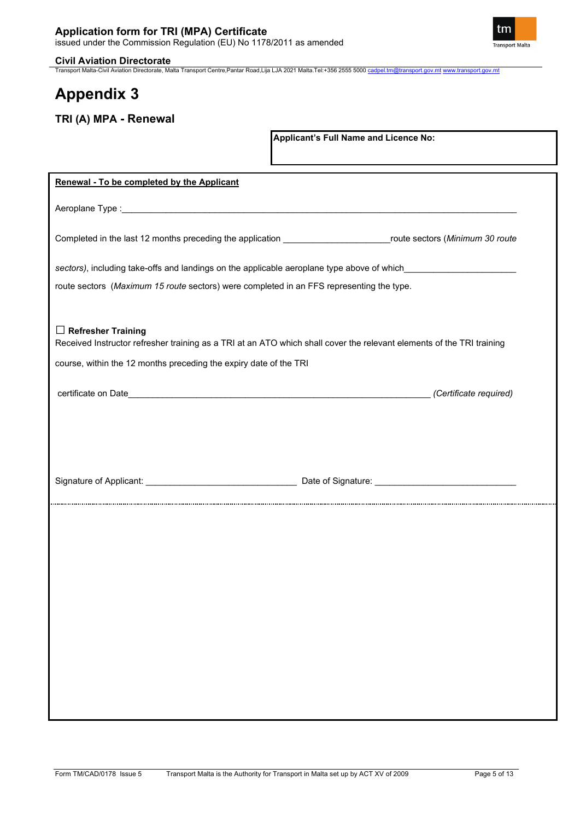

Transport Malta-Civil Aviation Directorate, Malta Transport Centre,Pantar Road,Lija LJA 2021 Malta.Tel:+356 2555 5000 [cadpel.tm@transport.gov.mt](mailto:cadpel.tm@transport.gov.mt) [www.transport.gov.mt](http://www.transport.gov.mt/)

# **Appendix 3**

### **TRI (A) MPA - Renewal**

| Completed in the last 12 months preceding the application ____________________________route sectors (Minimum 30 route |
|-----------------------------------------------------------------------------------------------------------------------|
|                                                                                                                       |
| sectors), including take-offs and landings on the applicable aeroplane type above of which____________________        |
| route sectors (Maximum 15 route sectors) were completed in an FFS representing the type.                              |
|                                                                                                                       |
| Received Instructor refresher training as a TRI at an ATO which shall cover the relevant elements of the TRI training |
| course, within the 12 months preceding the expiry date of the TRI                                                     |
| (Certificate required)                                                                                                |
|                                                                                                                       |
|                                                                                                                       |
|                                                                                                                       |
|                                                                                                                       |
|                                                                                                                       |
|                                                                                                                       |
|                                                                                                                       |
|                                                                                                                       |
|                                                                                                                       |
|                                                                                                                       |
|                                                                                                                       |
|                                                                                                                       |
|                                                                                                                       |
|                                                                                                                       |
|                                                                                                                       |
|                                                                                                                       |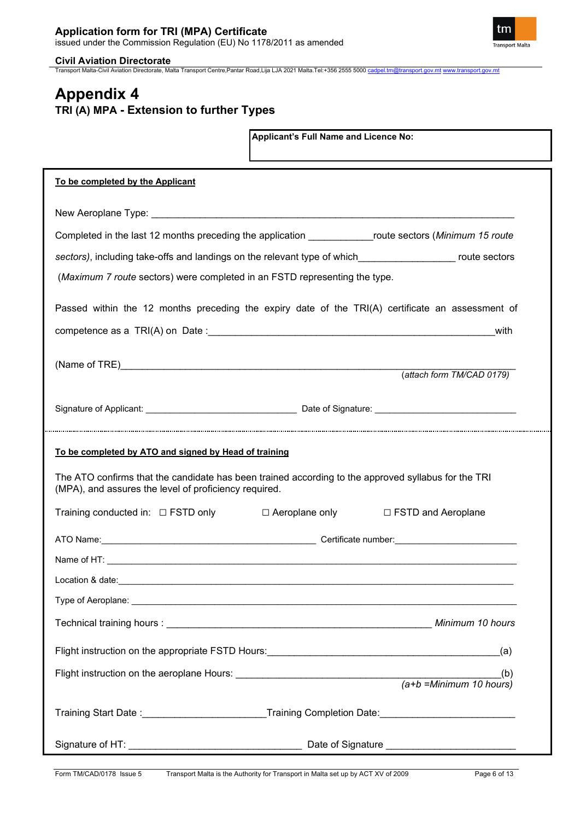

Transport Malta-Civil Aviation Directorate, Malta Transport Centre,Pantar Road,Lija LJA 2021 Malta.Tel:+356 2555 5000 [cadpel.tm@transport.gov.mt](mailto:cadpel.tm@transport.gov.mt) [www.transport.gov.mt](http://www.transport.gov.mt/)

## **Appendix 4 TRI (A) MPA - Extension to further Types**

|                                                                                                                                                                                                                                | Applicant's Full Name and Licence No: |                           |
|--------------------------------------------------------------------------------------------------------------------------------------------------------------------------------------------------------------------------------|---------------------------------------|---------------------------|
| To be completed by the Applicant                                                                                                                                                                                               |                                       |                           |
|                                                                                                                                                                                                                                |                                       |                           |
| Completed in the last 12 months preceding the application _______________route sectors (Minimum 15 route                                                                                                                       |                                       |                           |
|                                                                                                                                                                                                                                |                                       |                           |
| (Maximum 7 route sectors) were completed in an FSTD representing the type.                                                                                                                                                     |                                       |                           |
| Passed within the 12 months preceding the expiry date of the TRI(A) certificate an assessment of                                                                                                                               |                                       |                           |
|                                                                                                                                                                                                                                |                                       | with                      |
|                                                                                                                                                                                                                                |                                       |                           |
|                                                                                                                                                                                                                                |                                       | (attach form TM/CAD 0179) |
|                                                                                                                                                                                                                                |                                       |                           |
| To be completed by ATO and signed by Head of training                                                                                                                                                                          |                                       |                           |
| The ATO confirms that the candidate has been trained according to the approved syllabus for the TRI<br>(MPA), and assures the level of proficiency required.                                                                   |                                       |                           |
| Training conducted in: □ FSTD only                                                                                                                                                                                             | $\Box$ Aeroplane only                 | □ FSTD and Aeroplane      |
|                                                                                                                                                                                                                                |                                       |                           |
|                                                                                                                                                                                                                                |                                       |                           |
| Location & date: experience of the state of the state of the state of the state of the state of the state of the state of the state of the state of the state of the state of the state of the state of the state of the state |                                       |                           |
|                                                                                                                                                                                                                                |                                       |                           |
|                                                                                                                                                                                                                                |                                       |                           |
|                                                                                                                                                                                                                                |                                       | <u>(</u> a)               |
|                                                                                                                                                                                                                                |                                       |                           |
|                                                                                                                                                                                                                                |                                       |                           |
| Training Start Date :_________________________Training Completion Date:____________________________                                                                                                                            |                                       |                           |
|                                                                                                                                                                                                                                |                                       |                           |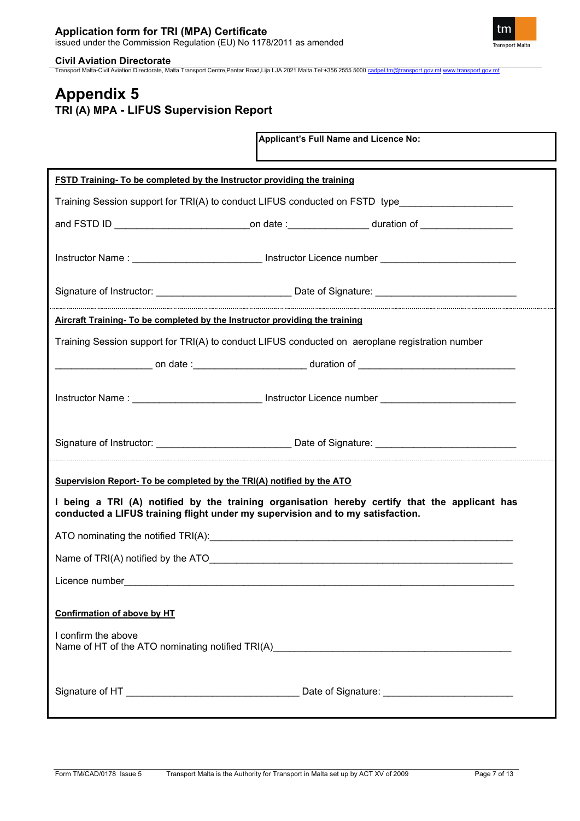

**Civil Aviation Directorate**<br>Transport Malta-Civil Aviation Directorate, Malta Transport Centre,Pantar Road,Lija LJA 2021 Malta.Tel:+356 2555 5000 <u>[cadpel.tm@transport.gov.mt](mailto:cadpel.tm@transport.gov.mt) www.transport.gov.m</u>t

### **Appendix 5 TRI (A) MPA - LIFUS Supervision Report**

|                                                                                                                                                                                 |  | Applicant's Full Name and Licence No: |  |  |
|---------------------------------------------------------------------------------------------------------------------------------------------------------------------------------|--|---------------------------------------|--|--|
| FSTD Training- To be completed by the Instructor providing the training                                                                                                         |  |                                       |  |  |
| Training Session support for TRI(A) to conduct LIFUS conducted on FSTD type                                                                                                     |  |                                       |  |  |
| and FSTD ID _________________________________on date :___________________duration of ____________________                                                                       |  |                                       |  |  |
| Instructor Name : ____________________________ Instructor Licence number __________________________                                                                             |  |                                       |  |  |
|                                                                                                                                                                                 |  |                                       |  |  |
| Aircraft Training- To be completed by the Instructor providing the training                                                                                                     |  |                                       |  |  |
| Training Session support for TRI(A) to conduct LIFUS conducted on aeroplane registration number                                                                                 |  |                                       |  |  |
| ________________________on date :_________________________duration of ______________________________                                                                            |  |                                       |  |  |
| Instructor Name : ___________________________ Instructor Licence number ___________________________                                                                             |  |                                       |  |  |
|                                                                                                                                                                                 |  |                                       |  |  |
| Supervision Report- To be completed by the TRI(A) notified by the ATO                                                                                                           |  |                                       |  |  |
| I being a TRI (A) notified by the training organisation hereby certify that the applicant has<br>conducted a LIFUS training flight under my supervision and to my satisfaction. |  |                                       |  |  |
|                                                                                                                                                                                 |  |                                       |  |  |
| Name of TRI(A) notified by the ATO <b>ACCONDUCT CONTROL</b>                                                                                                                     |  |                                       |  |  |
|                                                                                                                                                                                 |  |                                       |  |  |
| <b>Confirmation of above by HT</b><br>I confirm the above                                                                                                                       |  |                                       |  |  |
|                                                                                                                                                                                 |  |                                       |  |  |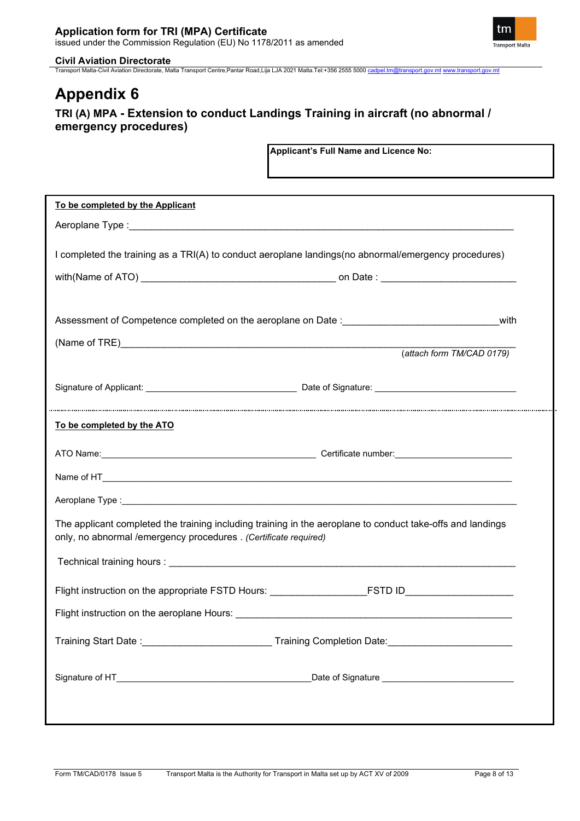

Transport Malta-Civil Aviation Directorate, Malta Transport Centre,Pantar Road,Lija LJA 2021 Malta.Tel:+356 2555 5000 [cadpel.tm@transport.gov.mt](mailto:cadpel.tm@transport.gov.mt) [www.transport.gov.mt](http://www.transport.gov.mt/)

# **Appendix 6**

### **TRI (A) MPA - Extension to conduct Landings Training in aircraft (no abnormal / emergency procedures)**

| To be completed by the Applicant                                 |                                                                                                            |  |
|------------------------------------------------------------------|------------------------------------------------------------------------------------------------------------|--|
|                                                                  |                                                                                                            |  |
|                                                                  |                                                                                                            |  |
|                                                                  | I completed the training as a TRI(A) to conduct aeroplane landings (no abnormal/emergency procedures)      |  |
|                                                                  |                                                                                                            |  |
|                                                                  |                                                                                                            |  |
|                                                                  | with                                                                                                       |  |
|                                                                  |                                                                                                            |  |
|                                                                  | (attach form TM/CAD 0179)                                                                                  |  |
|                                                                  |                                                                                                            |  |
|                                                                  |                                                                                                            |  |
|                                                                  |                                                                                                            |  |
| To be completed by the ATO                                       |                                                                                                            |  |
|                                                                  |                                                                                                            |  |
|                                                                  |                                                                                                            |  |
|                                                                  |                                                                                                            |  |
|                                                                  |                                                                                                            |  |
|                                                                  | The applicant completed the training including training in the aeroplane to conduct take-offs and landings |  |
| only, no abnormal /emergency procedures . (Certificate required) |                                                                                                            |  |
|                                                                  |                                                                                                            |  |
|                                                                  |                                                                                                            |  |
|                                                                  | Flight instruction on the appropriate FSTD Hours: _______________________________                          |  |
|                                                                  |                                                                                                            |  |
|                                                                  | Training Start Date :_____________________________Training Completion Date:________________________        |  |
|                                                                  |                                                                                                            |  |
|                                                                  | Date of Signature _______________________________                                                          |  |
|                                                                  |                                                                                                            |  |
|                                                                  |                                                                                                            |  |
|                                                                  |                                                                                                            |  |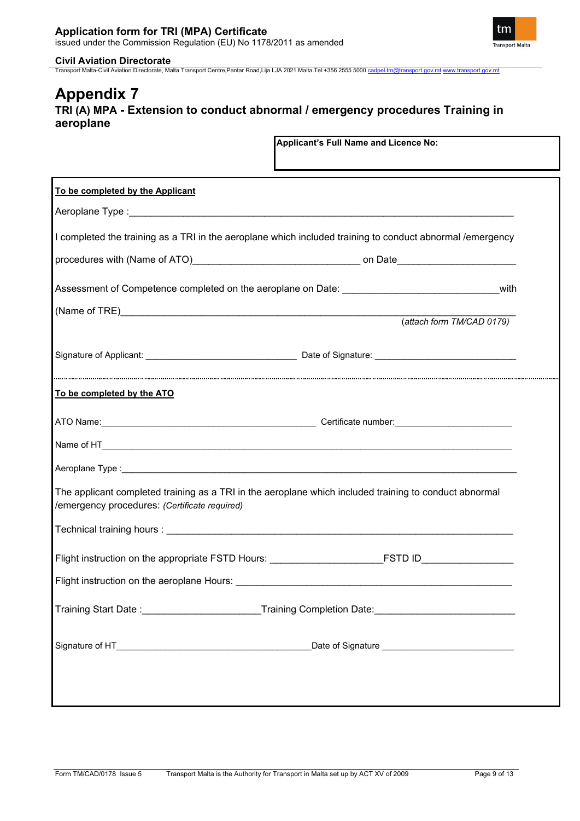

Transport Malta-Civil Aviation Directorate, Malta Transport Centre,Pantar Road,Lija LJA 2021 Malta.Tel:+356 2555 5000 [cadpel.tm@transport.gov.mt](mailto:cadpel.tm@transport.gov.mt) [www.transport.gov.mt](http://www.transport.gov.mt/)

### **Appendix 7 TRI (A) MPA - Extension to conduct abnormal / emergency procedures Training in aeroplane**

| To be completed by the Applicant                                                                                                                        |  |
|---------------------------------------------------------------------------------------------------------------------------------------------------------|--|
|                                                                                                                                                         |  |
| I completed the training as a TRI in the aeroplane which included training to conduct abnormal /emergency                                               |  |
|                                                                                                                                                         |  |
| Assessment of Competence completed on the aeroplane on Date: __________________________________with                                                     |  |
|                                                                                                                                                         |  |
| (attach form TM/CAD 0179)                                                                                                                               |  |
|                                                                                                                                                         |  |
| To be completed by the ATO                                                                                                                              |  |
|                                                                                                                                                         |  |
|                                                                                                                                                         |  |
|                                                                                                                                                         |  |
| The applicant completed training as a TRI in the aeroplane which included training to conduct abnormal<br>/emergency procedures: (Certificate required) |  |
|                                                                                                                                                         |  |
| Flight instruction on the appropriate FSTD Hours: ___________________________FSTD ID________________                                                    |  |
|                                                                                                                                                         |  |
| Training Start Date:<br>____________Training Completion Date:                                                                                           |  |
|                                                                                                                                                         |  |
|                                                                                                                                                         |  |
|                                                                                                                                                         |  |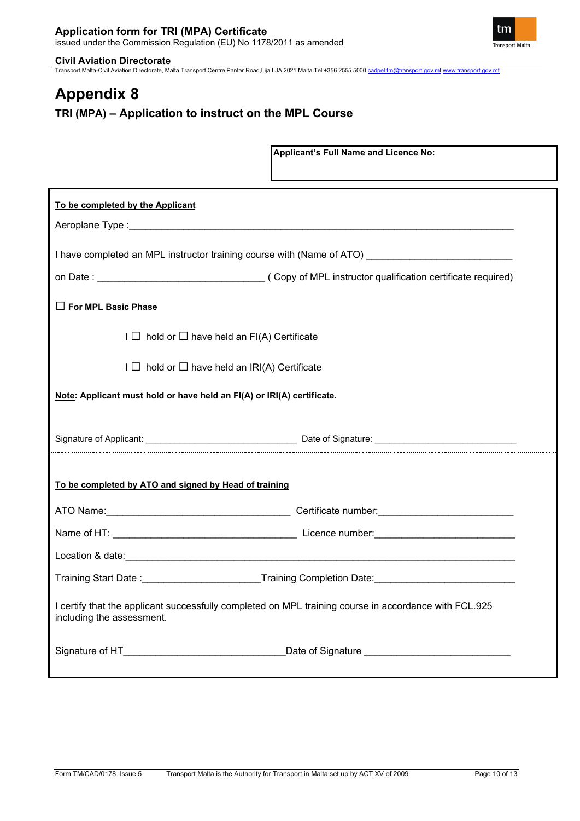

Transport Malta-Civil Aviation Directorate, Malta Transport Centre,Pantar Road,Lija LJA 2021 Malta.Tel:+356 2555 5000 [cadpel.tm@transport.gov.mt](mailto:cadpel.tm@transport.gov.mt) [www.transport.gov.mt](http://www.transport.gov.mt/)

# **Appendix 8 TRI (MPA) – Application to instruct on the MPL Course**

|                                                                                                                                    | Applicant's Full Name and Licence No:                                                               |  |
|------------------------------------------------------------------------------------------------------------------------------------|-----------------------------------------------------------------------------------------------------|--|
| To be completed by the Applicant                                                                                                   |                                                                                                     |  |
|                                                                                                                                    | I have completed an MPL instructor training course with (Name of ATO) _____________________________ |  |
|                                                                                                                                    |                                                                                                     |  |
| $\Box$ For MPL Basic Phase                                                                                                         |                                                                                                     |  |
| $I \square$ hold or $\square$ have held an FI(A) Certificate                                                                       |                                                                                                     |  |
| $I \square$ hold or $\square$ have held an IRI(A) Certificate                                                                      |                                                                                                     |  |
| Note: Applicant must hold or have held an FI(A) or IRI(A) certificate.                                                             |                                                                                                     |  |
|                                                                                                                                    |                                                                                                     |  |
| To be completed by ATO and signed by Head of training                                                                              |                                                                                                     |  |
|                                                                                                                                    |                                                                                                     |  |
|                                                                                                                                    |                                                                                                     |  |
|                                                                                                                                    |                                                                                                     |  |
|                                                                                                                                    | Training Start Date :_________________________Training Completion Date:____________________________ |  |
| I certify that the applicant successfully completed on MPL training course in accordance with FCL.925<br>including the assessment. |                                                                                                     |  |
|                                                                                                                                    |                                                                                                     |  |

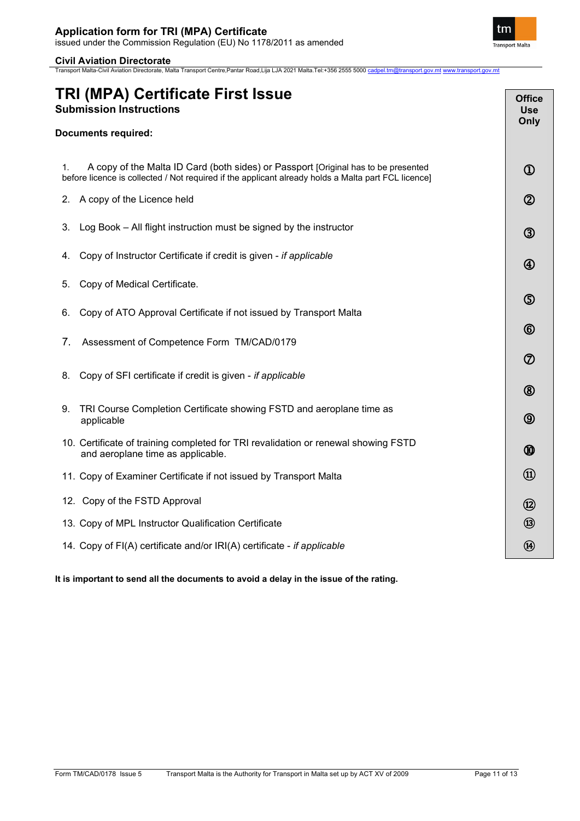Transport Malta-Civil Aviation Directorate, Malta Transport Centre,Pantar Road,Lija LJA 2021 Malta.Tel:+356 2555 5000 [cadpel.tm@transport.gov.mt](mailto:cadpel.tm@transport.gov.mt) [www.transport.gov.mt](http://www.transport.gov.mt/)

| <b>Documents required:</b><br>A copy of the Malta ID Card (both sides) or Passport [Original has to be presented<br>1.<br>$^{\textcircled{\footnotesize{1}}}$<br>before licence is collected / Not required if the applicant already holds a Malta part FCL licence]<br>$^{\circledR}$<br>A copy of the Licence held<br>2.<br>Log Book – All flight instruction must be signed by the instructor<br>3.<br>$\circledS$<br>Copy of Instructor Certificate if credit is given - if applicable<br>4.<br>$^{\small{\textregistered}}$<br>Copy of Medical Certificate.<br>5. | TRI (MPA) Certificate First Issue<br><b>Submission Instructions</b> | <b>Office</b><br><b>Use</b><br>Only |
|------------------------------------------------------------------------------------------------------------------------------------------------------------------------------------------------------------------------------------------------------------------------------------------------------------------------------------------------------------------------------------------------------------------------------------------------------------------------------------------------------------------------------------------------------------------------|---------------------------------------------------------------------|-------------------------------------|
|                                                                                                                                                                                                                                                                                                                                                                                                                                                                                                                                                                        |                                                                     |                                     |
|                                                                                                                                                                                                                                                                                                                                                                                                                                                                                                                                                                        |                                                                     |                                     |
|                                                                                                                                                                                                                                                                                                                                                                                                                                                                                                                                                                        |                                                                     |                                     |
|                                                                                                                                                                                                                                                                                                                                                                                                                                                                                                                                                                        |                                                                     |                                     |
|                                                                                                                                                                                                                                                                                                                                                                                                                                                                                                                                                                        |                                                                     |                                     |
|                                                                                                                                                                                                                                                                                                                                                                                                                                                                                                                                                                        |                                                                     |                                     |
| $\circledS$<br>Copy of ATO Approval Certificate if not issued by Transport Malta<br>6.                                                                                                                                                                                                                                                                                                                                                                                                                                                                                 |                                                                     |                                     |
| $^{\circledR}$<br>7.<br>Assessment of Competence Form TM/CAD/0179                                                                                                                                                                                                                                                                                                                                                                                                                                                                                                      |                                                                     |                                     |
| $^\circledR$<br>Copy of SFI certificate if credit is given - if applicable<br>8.<br>$^{\circledR}$                                                                                                                                                                                                                                                                                                                                                                                                                                                                     |                                                                     |                                     |
| TRI Course Completion Certificate showing FSTD and aeroplane time as<br>9.<br>$\circledS$<br>applicable                                                                                                                                                                                                                                                                                                                                                                                                                                                                |                                                                     |                                     |
| 10. Certificate of training completed for TRI revalidation or renewal showing FSTD<br>⑩<br>and aeroplane time as applicable.                                                                                                                                                                                                                                                                                                                                                                                                                                           |                                                                     |                                     |
| $\circled{1}$<br>11. Copy of Examiner Certificate if not issued by Transport Malta                                                                                                                                                                                                                                                                                                                                                                                                                                                                                     |                                                                     |                                     |
| 12. Copy of the FSTD Approval<br>$\circledR$                                                                                                                                                                                                                                                                                                                                                                                                                                                                                                                           |                                                                     |                                     |
| $\circledR$<br>13. Copy of MPL Instructor Qualification Certificate                                                                                                                                                                                                                                                                                                                                                                                                                                                                                                    |                                                                     |                                     |
| $\circledR$<br>14. Copy of FI(A) certificate and/or IRI(A) certificate - if applicable                                                                                                                                                                                                                                                                                                                                                                                                                                                                                 |                                                                     |                                     |

**It is important to send all the documents to avoid a delay in the issue of the rating.**

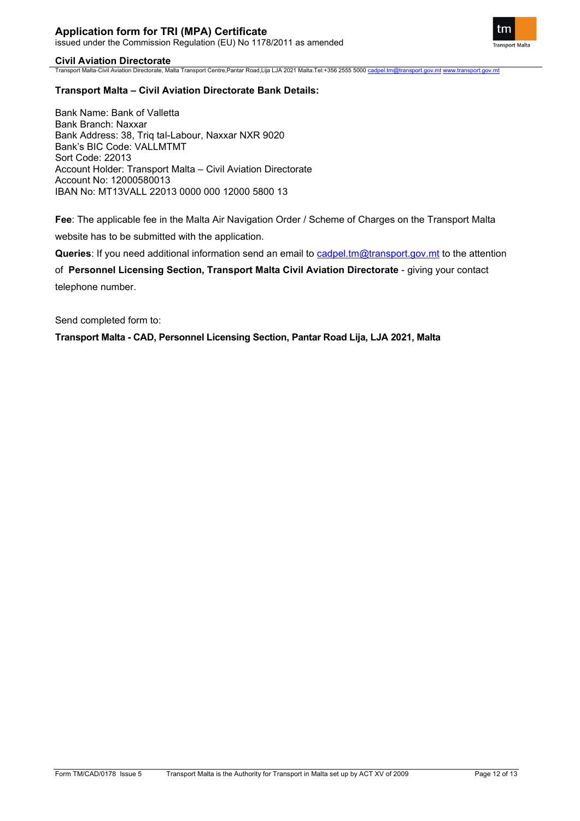

Transport Malta-Civil Aviation Directorate, Malta Transport Centre,Pantar Road,Lija LJA 2021 Malta.Tel:+356 2555 5000 [cadpel.tm@transport.gov.mt](mailto:cadpel.tm@transport.gov.mt) [www.transport.gov.mt](http://www.transport.gov.mt/)

### **Transport Malta – Civil Aviation Directorate Bank Details:**

Bank Name: Bank of Valletta Bank Branch: Naxxar Bank Address: 38, Triq tal-Labour, Naxxar NXR 9020 Bank's BIC Code: VALLMTMT Sort Code: 22013 Account Holder: Transport Malta – Civil Aviation Directorate Account No: 12000580013 IBAN No: MT13VALL 22013 0000 000 12000 5800 13

**Fee**: The applicable fee in the Malta Air Navigation Order / Scheme of Charges on the Transport Malta website has to be submitted with the application.

**Queries**: If you need additional information send an email to [cadpel.tm@transport.gov.mt](mailto:cadpel.tm@transport.gov.mt) to the attention

of **Personnel Licensing Section, Transport Malta Civil Aviation Directorate** - giving your contact telephone number.

Send completed form to:

**Transport Malta - CAD, Personnel Licensing Section, Pantar Road Lija, LJA 2021, Malta**